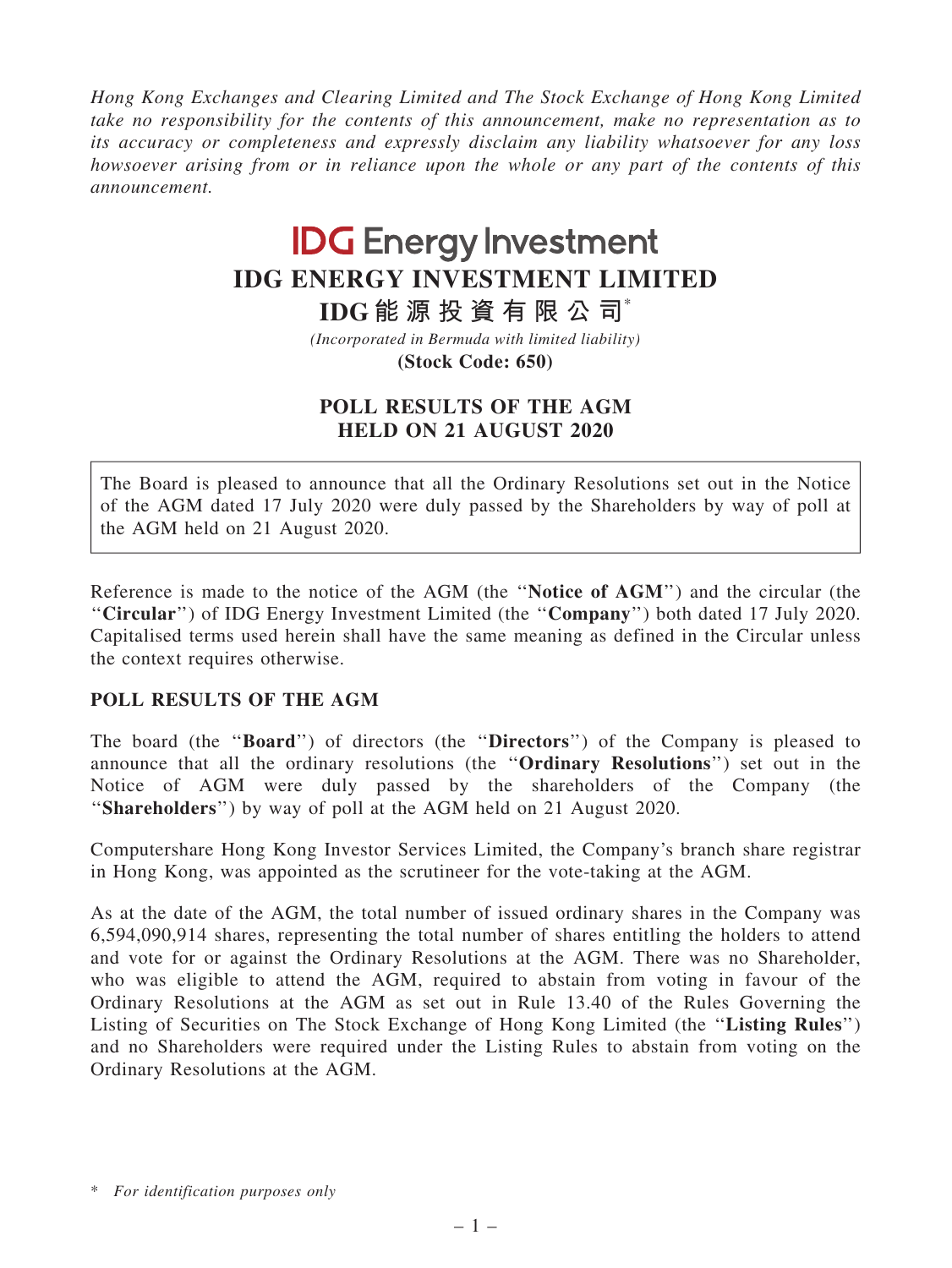Hong Kong Exchanges and Clearing Limited and The Stock Exchange of Hong Kong Limited take no responsibility for the contents of this announcement, make no representation as to its accuracy or completeness and expressly disclaim any liability whatsoever for any loss howsoever arising from or in reliance upon the whole or any part of the contents of this announcement.

## **IDG Energy Investment IDG ENERGY INVESTMENT LIMITED**

**IDG 能 源 投 資 有 限 公 司**\*

**(Stock Code: 650)** *(Incorporated in Bermuda with limited liability)*

## POLL RESULTS OF THE AGM HELD ON 21 AUGUST 2020

The Board is pleased to announce that all the Ordinary Resolutions set out in the Notice of the AGM dated 17 July 2020 were duly passed by the Shareholders by way of poll at the AGM held on 21 August 2020.

Reference is made to the notice of the AGM (the ''Notice of AGM'') and the circular (the "Circular") of IDG Energy Investment Limited (the "Company") both dated 17 July 2020. Capitalised terms used herein shall have the same meaning as defined in the Circular unless the context requires otherwise.

## POLL RESULTS OF THE AGM

The board (the ''Board'') of directors (the ''Directors'') of the Company is pleased to announce that all the ordinary resolutions (the ''Ordinary Resolutions'') set out in the Notice of AGM were duly passed by the shareholders of the Company (the "Shareholders") by way of poll at the AGM held on 21 August 2020.

Computershare Hong Kong Investor Services Limited, the Company's branch share registrar in Hong Kong, was appointed as the scrutineer for the vote-taking at the AGM.

As at the date of the AGM, the total number of issued ordinary shares in the Company was 6,594,090,914 shares, representing the total number of shares entitling the holders to attend and vote for or against the Ordinary Resolutions at the AGM. There was no Shareholder, who was eligible to attend the AGM, required to abstain from voting in favour of the Ordinary Resolutions at the AGM as set out in Rule 13.40 of the Rules Governing the Listing of Securities on The Stock Exchange of Hong Kong Limited (the ''Listing Rules'') and no Shareholders were required under the Listing Rules to abstain from voting on the Ordinary Resolutions at the AGM.

<sup>\*</sup> For identification purposes only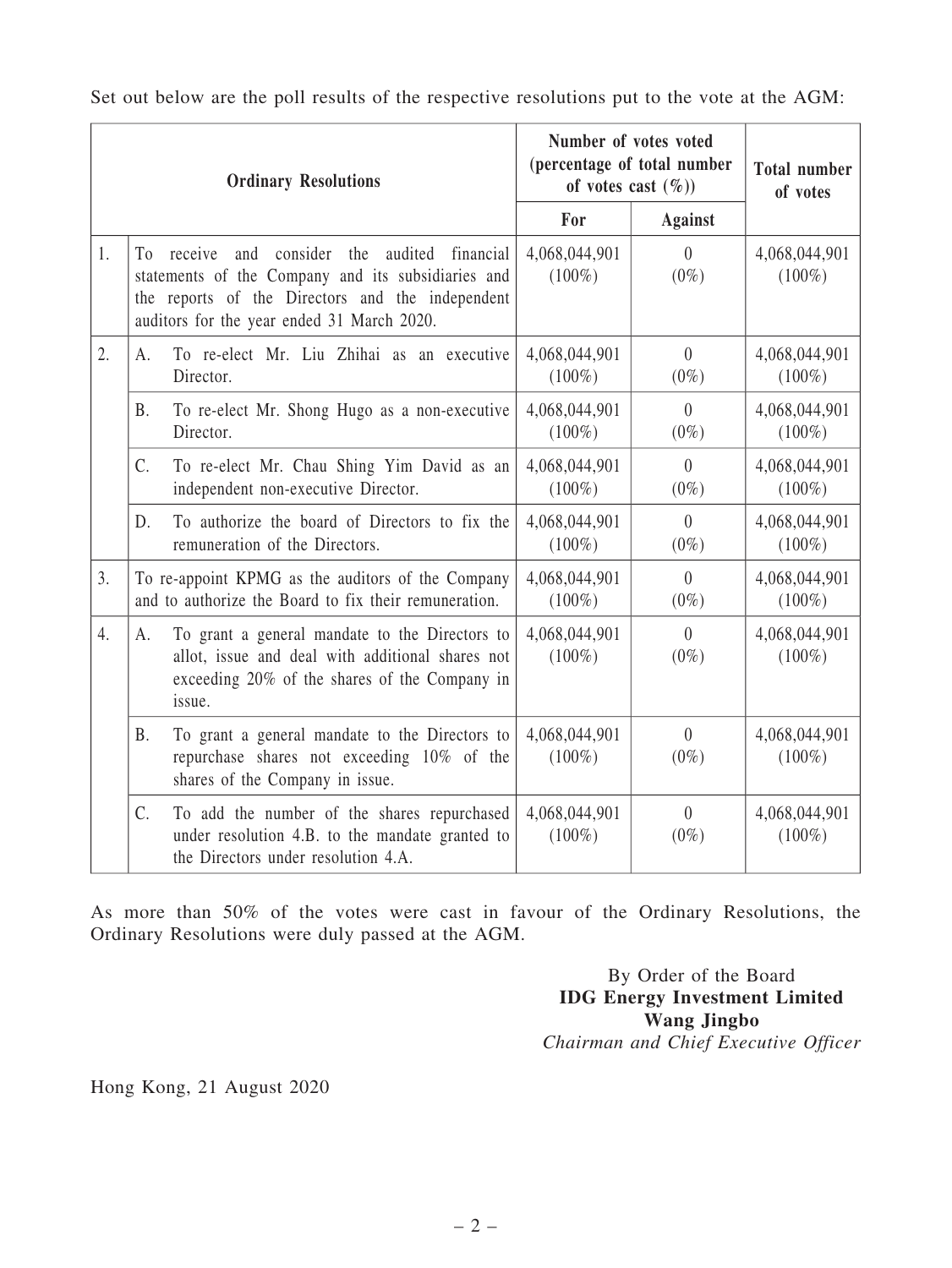| <b>Ordinary Resolutions</b> |                                                                                                                                                                                                                   |                                                                                                                                                               | Number of votes voted<br>(percentage of total number<br>of votes cast $(\%)$ |                           | <b>Total number</b><br>of votes |
|-----------------------------|-------------------------------------------------------------------------------------------------------------------------------------------------------------------------------------------------------------------|---------------------------------------------------------------------------------------------------------------------------------------------------------------|------------------------------------------------------------------------------|---------------------------|---------------------------------|
|                             |                                                                                                                                                                                                                   | For                                                                                                                                                           | <b>Against</b>                                                               |                           |                                 |
| 1.                          | and consider the<br>audited<br>To<br>receive<br>financial<br>statements of the Company and its subsidiaries and<br>the reports of the Directors and the independent<br>auditors for the year ended 31 March 2020. |                                                                                                                                                               | 4,068,044,901<br>$(100\%)$                                                   | $\theta$<br>$(0\%)$       | 4,068,044,901<br>$(100\%)$      |
| 2.                          | A.                                                                                                                                                                                                                | To re-elect Mr. Liu Zhihai as an executive<br>Director.                                                                                                       | 4,068,044,901<br>$(100\%)$                                                   | $\overline{0}$<br>$(0\%)$ | 4,068,044,901<br>$(100\%)$      |
|                             | B.                                                                                                                                                                                                                | To re-elect Mr. Shong Hugo as a non-executive<br>Director.                                                                                                    | 4,068,044,901<br>$(100\%)$                                                   | $\theta$<br>$(0\%)$       | 4,068,044,901<br>$(100\%)$      |
|                             | C.                                                                                                                                                                                                                | To re-elect Mr. Chau Shing Yim David as an<br>independent non-executive Director.                                                                             | 4,068,044,901<br>$(100\%)$                                                   | $\theta$<br>$(0\%)$       | 4,068,044,901<br>$(100\%)$      |
|                             | D.                                                                                                                                                                                                                | To authorize the board of Directors to fix the<br>remuneration of the Directors.                                                                              | 4,068,044,901<br>$(100\%)$                                                   | $\theta$<br>$(0\%)$       | 4,068,044,901<br>$(100\%)$      |
| 3.                          | To re-appoint KPMG as the auditors of the Company<br>and to authorize the Board to fix their remuneration.                                                                                                        |                                                                                                                                                               | 4,068,044,901<br>$(100\%)$                                                   | $\theta$<br>$(0\%)$       | 4,068,044,901<br>$(100\%)$      |
| 4.                          | А.                                                                                                                                                                                                                | To grant a general mandate to the Directors to<br>allot, issue and deal with additional shares not<br>exceeding 20% of the shares of the Company in<br>issue. | 4,068,044,901<br>$(100\%)$                                                   | $\theta$<br>$(0\%)$       | 4,068,044,901<br>$(100\%)$      |
|                             | <b>B.</b>                                                                                                                                                                                                         | To grant a general mandate to the Directors to<br>repurchase shares not exceeding 10% of the<br>shares of the Company in issue.                               | 4,068,044,901<br>$(100\%)$                                                   | $\theta$<br>$(0\%)$       | 4,068,044,901<br>$(100\%)$      |
|                             | C.                                                                                                                                                                                                                | To add the number of the shares repurchased<br>under resolution 4.B. to the mandate granted to<br>the Directors under resolution 4.A.                         | 4,068,044,901<br>$(100\%)$                                                   | $\theta$<br>$(0\%)$       | 4,068,044,901<br>$(100\%)$      |

Set out below are the poll results of the respective resolutions put to the vote at the AGM:

As more than 50% of the votes were cast in favour of the Ordinary Resolutions, the Ordinary Resolutions were duly passed at the AGM.

> By Order of the Board IDG Energy Investment Limited Wang Jingbo Chairman and Chief Executive Officer

Hong Kong, 21 August 2020